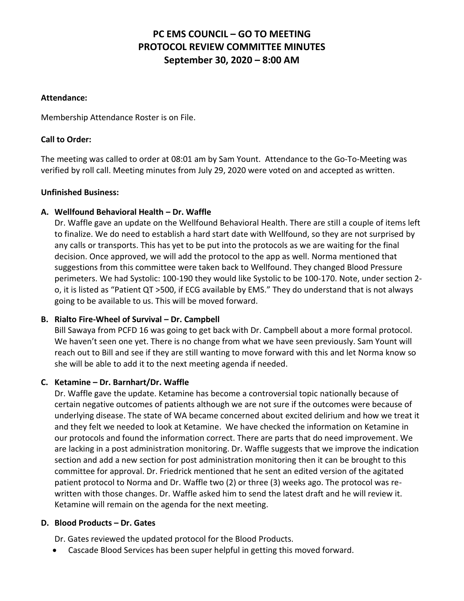# **PC EMS COUNCIL – GO TO MEETING PROTOCOL REVIEW COMMITTEE MINUTES September 30, 2020 – 8:00 AM**

#### **Attendance:**

Membership Attendance Roster is on File.

## **Call to Order:**

The meeting was called to order at 08:01 am by Sam Yount. Attendance to the Go-To-Meeting was verified by roll call. Meeting minutes from July 29, 2020 were voted on and accepted as written.

### **Unfinished Business:**

## **A. Wellfound Behavioral Health – Dr. Waffle**

Dr. Waffle gave an update on the Wellfound Behavioral Health. There are still a couple of items left to finalize. We do need to establish a hard start date with Wellfound, so they are not surprised by any calls or transports. This has yet to be put into the protocols as we are waiting for the final decision. Once approved, we will add the protocol to the app as well. Norma mentioned that suggestions from this committee were taken back to Wellfound. They changed Blood Pressure perimeters. We had Systolic: 100-190 they would like Systolic to be 100-170. Note, under section 2 o, it is listed as "Patient QT >500, if ECG available by EMS." They do understand that is not always going to be available to us. This will be moved forward.

## **B.** Rialto Fire-Wheel of Survival – Dr. Campbell

Bill Sawaya from PCFD 16 was going to get back with Dr. Campbell about a more formal protocol. We haven't seen one yet. There is no change from what we have seen previously. Sam Yount will reach out to Bill and see if they are still wanting to move forward with this and let Norma know so she will be able to add it to the next meeting agenda if needed.

## **C. Ketamine – Dr. Barnhart/Dr. Waffle**

Dr. Waffle gave the update. Ketamine has become a controversial topic nationally because of certain negative outcomes of patients although we are not sure if the outcomes were because of underlying disease. The state of WA became concerned about excited delirium and how we treat it and they felt we needed to look at Ketamine. We have checked the information on Ketamine in our protocols and found the information correct. There are parts that do need improvement. We are lacking in a post administration monitoring. Dr. Waffle suggests that we improve the indication section and add a new section for post administration monitoring then it can be brought to this committee for approval. Dr. Friedrick mentioned that he sent an edited version of the agitated patient protocol to Norma and Dr. Waffle two (2) or three (3) weeks ago. The protocol was rewritten with those changes. Dr. Waffle asked him to send the latest draft and he will review it. Ketamine will remain on the agenda for the next meeting.

### **D. Blood Products – Dr. Gates**

Dr. Gates reviewed the updated protocol for the Blood Products.

• Cascade Blood Services has been super helpful in getting this moved forward.